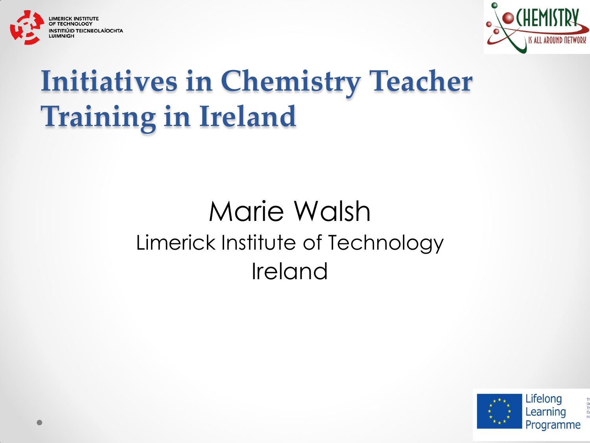



### **Initiatives in Chemistry Teacher Training in Ireland**

#### Marie Walsh Limerick Institute of Technology Ireland

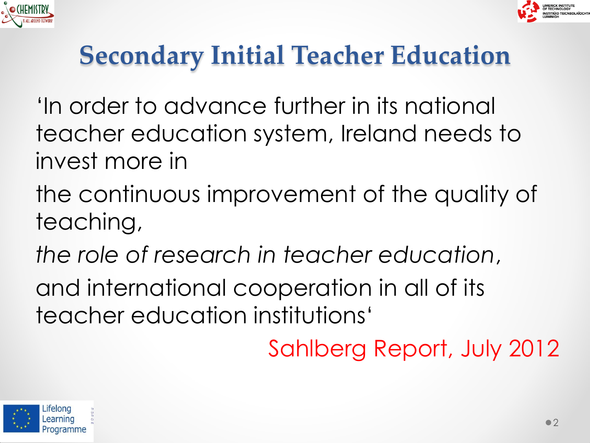



### **Secondary Initial Teacher Education**

- 'In order to advance further in its national teacher education system, Ireland needs to invest more in
- the continuous improvement of the quality of teaching,
- *the role of research in teacher education*,
- and international cooperation in all of its teacher education institutions'

Sahlberg Report, July 2012

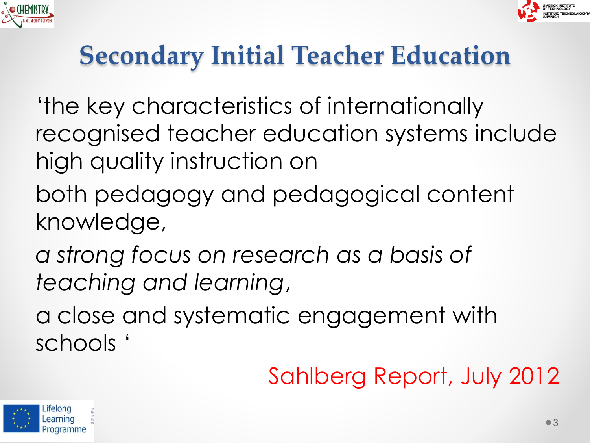



### **Secondary Initial Teacher Education**

- 'the key characteristics of internationally recognised teacher education systems include high quality instruction on
- both pedagogy and pedagogical content knowledge,
- *a strong focus on research as a basis of teaching and learning*,
- a close and systematic engagement with schools '

### Sahlberg Report, July 2012

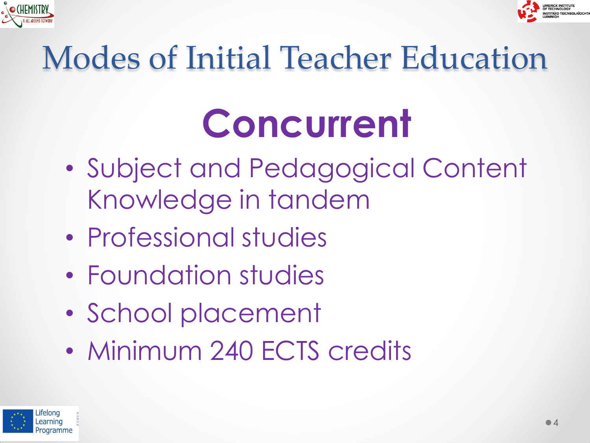



### Modes of Initial Teacher Education

## **Concurrent**

- Subject and Pedagogical Content Knowledge in tandem
- Professional studies
- Foundation studies
- School placement
- Minimum 240 ECTS credits

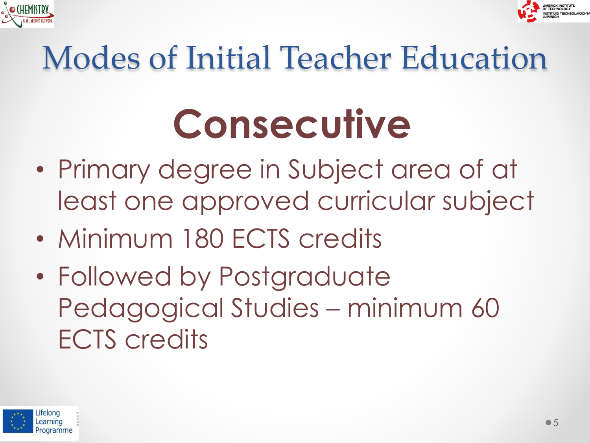



# Modes of Initial Teacher Education

# **Consecutive**

- Primary degree in Subject area of at least one approved curricular subject
- Minimum 180 ECTS credits
- Followed by Postgraduate Pedagogical Studies – minimum 60 ECTS credits

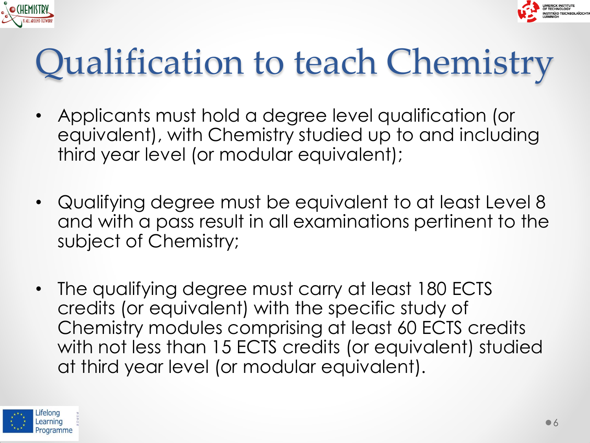



### Qualification to teach Chemistry

- Applicants must hold a degree level qualification (or equivalent), with Chemistry studied up to and including third year level (or modular equivalent);
- Qualifying degree must be equivalent to at least Level 8 and with a pass result in all examinations pertinent to the subject of Chemistry;
- The qualifying degree must carry at least 180 ECTS credits (or equivalent) with the specific study of Chemistry modules comprising at least 60 ECTS credits with not less than 15 ECTS credits (or equivalent) studied at third year level (or modular equivalent).

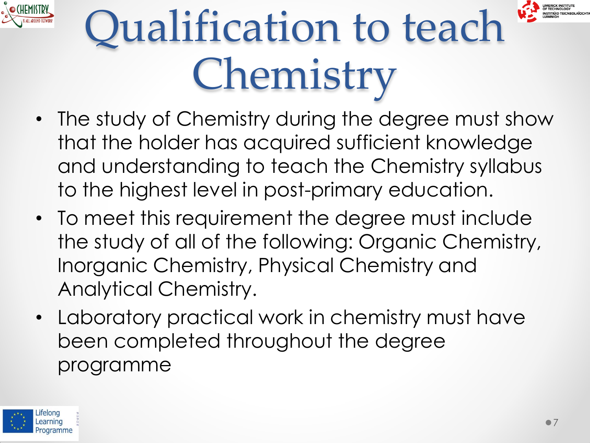



# Qualification to teach Chemistry

- The study of Chemistry during the degree must show that the holder has acquired sufficient knowledge and understanding to teach the Chemistry syllabus to the highest level in post-primary education.
- To meet this requirement the degree must include the study of all of the following: Organic Chemistry, Inorganic Chemistry, Physical Chemistry and Analytical Chemistry.
- Laboratory practical work in chemistry must have been completed throughout the degree programme

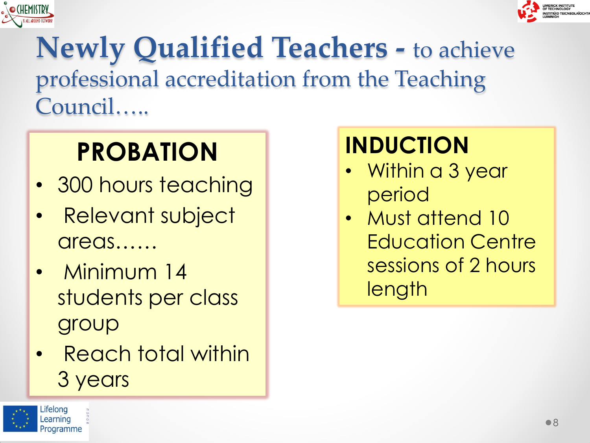



#### **Newly Qualified Teachers -** to achieve professional accreditation from the Teaching Council…..

### **PROBATION**

- 300 hours teaching
- Relevant subject areas……
- Minimum 14 students per class group
- Reach total within 3 years

#### **INDUCTION**

- Within a 3 year period
- Must attend 10 Education Centre sessions of 2 hours length

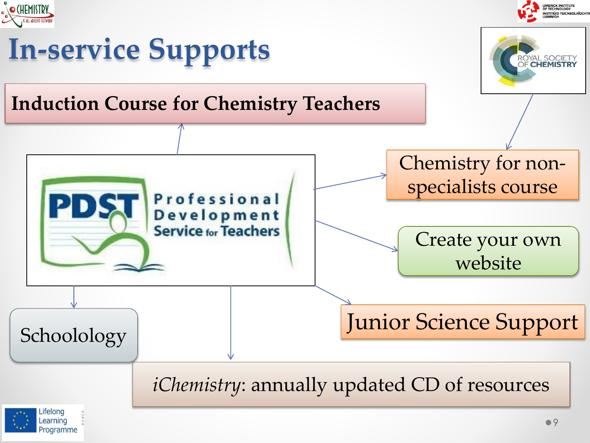

### **In-service Supports**

#### **Induction Course for Chemistry Teachers**